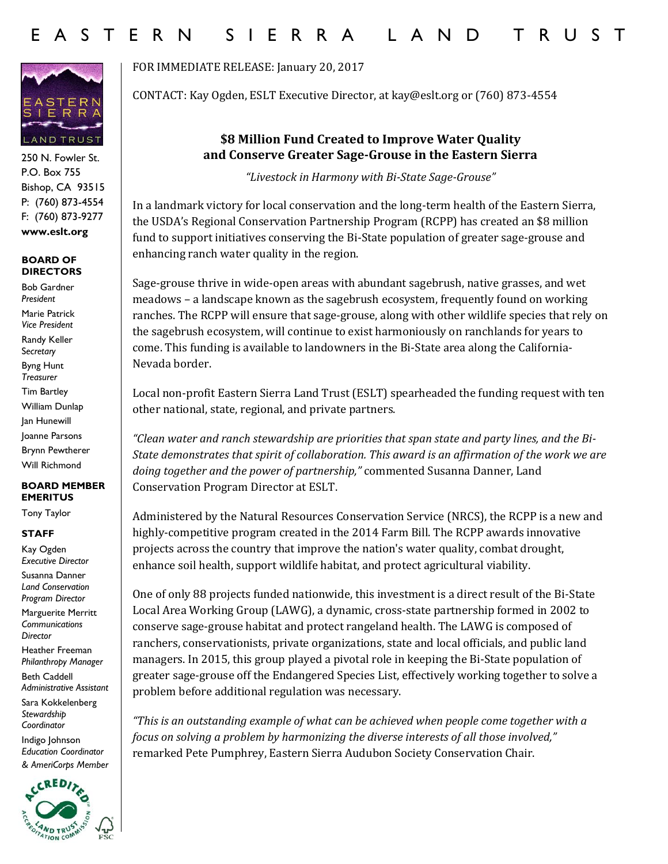

250 N. Fowler St. P.O. Box 755 Bishop, CA 93515 P: (760) 873-4554 F: (760) 873-9277 **www.eslt.org**

### **BOARD OF DIRECTORS**

Bob Gardner *President* Marie Patrick *Vice President* Randy Keller S*ecretary* Byng Hunt *Treasurer* Tim Bartley William Dunlap Jan Hunewill Joanne Parsons Brynn Pewtherer Will Richmond

#### **BOARD MEMBER EMERITUS**

Tony Taylor

### **STAFF**

Kay Ogden *Executive Director* Susanna Danner *Land Conservation Program Director*

Marguerite Merritt *Communications Director*

Heather Freeman *Philanthropy Manager*

Beth Caddell *Administrative Assistant* 

Sara Kokkelenberg *Stewardship Coordinator*  Indigo Johnson *Education Coordinator & AmeriCorps Member*



FOR IMMEDIATE RELEASE: January 20, 2017

CONTACT: Kay Ogden, ESLT Executive Director, at kay@eslt.org or (760) 873-4554

# **\$8 Million Fund Created to Improve Water Quality and Conserve Greater Sage-Grouse in the Eastern Sierra**

*"Livestock in Harmony with Bi-State Sage-Grouse"*

In a landmark victory for local conservation and the long-term health of the Eastern Sierra, the USDA's Regional Conservation Partnership Program (RCPP) has created an \$8 million fund to support initiatives conserving the Bi-State population of greater sage-grouse and enhancing ranch water quality in the region.

Sage-grouse thrive in wide-open areas with abundant sagebrush, native grasses, and wet meadows – a landscape known as the sagebrush ecosystem, frequently found on working ranches. The RCPP will ensure that sage-grouse, along with other wildlife species that rely on the sagebrush ecosystem, will continue to exist harmoniously on ranchlands for years to come. This funding is available to landowners in the Bi-State area along the California-Nevada border.

Local non-profit Eastern Sierra Land Trust (ESLT) spearheaded the funding request with ten other national, state, regional, and private partners.

*"Clean water and ranch stewardship are priorities that span state and party lines, and the Bi-State demonstrates that spirit of collaboration. This award is an affirmation of the work we are doing together and the power of partnership,"* commented Susanna Danner, Land Conservation Program Director at ESLT.

Administered by the Natural Resources Conservation Service (NRCS), the RCPP is a new and highly-competitive program created in the 2014 Farm Bill. The RCPP awards innovative projects across the country that improve the nation's water quality, combat drought, enhance soil health, support wildlife habitat, and protect agricultural viability.

One of only 88 projects funded nationwide, this investment is a direct result of the Bi-State Local Area Working Group (LAWG), a dynamic, cross-state partnership formed in 2002 to conserve sage-grouse habitat and protect rangeland health. The LAWG is composed of ranchers, conservationists, private organizations, state and local officials, and public land managers. In 2015, this group played a pivotal role in keeping the Bi-State population of greater sage-grouse off the Endangered Species List, effectively working together to solve a problem before additional regulation was necessary.

*"This is an outstanding example of what can be achieved when people come together with a focus on solving a problem by harmonizing the diverse interests of all those involved,"* remarked Pete Pumphrey, Eastern Sierra Audubon Society Conservation Chair.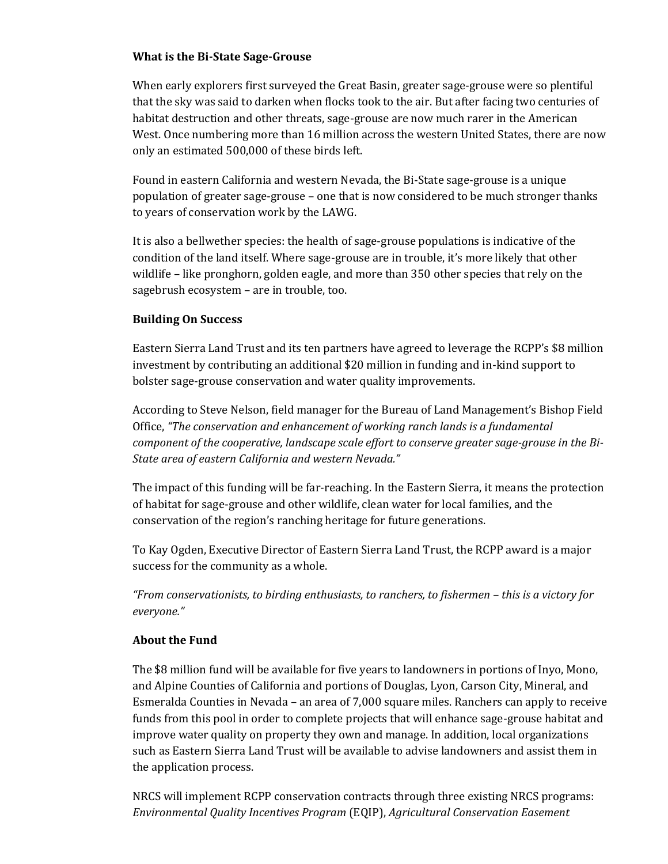## **What is the Bi-State Sage-Grouse**

When early explorers first surveyed the Great Basin, greater sage-grouse were so plentiful that the sky was said to darken when flocks took to the air. But after facing two centuries of habitat destruction and other threats, sage-grouse are now much rarer in the American West. Once numbering more than 16 million across the western United States, there are now only an estimated 500,000 of these birds left.

Found in eastern California and western Nevada, the Bi-State sage-grouse is a unique population of greater sage-grouse – one that is now considered to be much stronger thanks to years of conservation work by the LAWG.

It is also a bellwether species: the health of sage-grouse populations is indicative of the condition of the land itself. Where sage-grouse are in trouble, it's more likely that other wildlife – like pronghorn, golden eagle, and more than 350 other species that rely on the sagebrush ecosystem – are in trouble, too.

## **Building On Success**

Eastern Sierra Land Trust and its ten partners have agreed to leverage the RCPP's \$8 million investment by contributing an additional \$20 million in funding and in-kind support to bolster sage-grouse conservation and water quality improvements.

According to Steve Nelson, field manager for the Bureau of Land Management's Bishop Field Office, *"The conservation and enhancement of working ranch lands is a fundamental component of the cooperative, landscape scale effort to conserve greater sage-grouse in the Bi-State area of eastern California and western Nevada."*

The impact of this funding will be far-reaching. In the Eastern Sierra, it means the protection of habitat for sage-grouse and other wildlife, clean water for local families, and the conservation of the region's ranching heritage for future generations.

To Kay Ogden, Executive Director of Eastern Sierra Land Trust, the RCPP award is a major success for the community as a whole.

*"From conservationists, to birding enthusiasts, to ranchers, to fishermen – this is a victory for everyone."*

## **About the Fund**

The \$8 million fund will be available for five years to landowners in portions of Inyo, Mono, and Alpine Counties of California and portions of Douglas, Lyon, Carson City, Mineral, and Esmeralda Counties in Nevada – an area of 7,000 square miles. Ranchers can apply to receive funds from this pool in order to complete projects that will enhance sage-grouse habitat and improve water quality on property they own and manage. In addition, local organizations such as Eastern Sierra Land Trust will be available to advise landowners and assist them in the application process.

NRCS will implement RCPP conservation contracts through three existing NRCS programs: *Environmental Quality Incentives Program* (EQIP), *Agricultural Conservation Easement*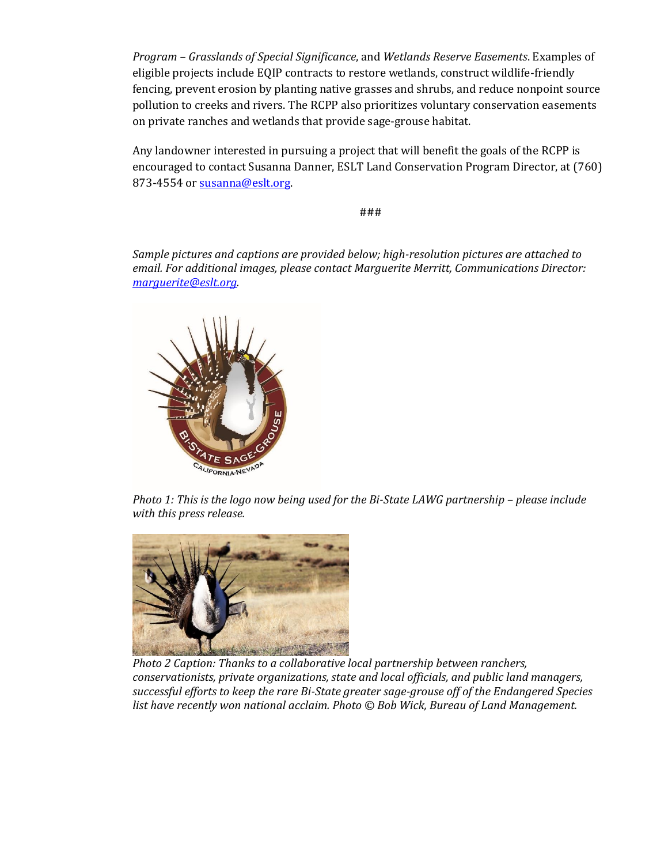*Program – Grasslands of Special Significance*, and *Wetlands Reserve Easements*. Examples of eligible projects include EQIP contracts to restore wetlands, construct wildlife-friendly fencing, prevent erosion by planting native grasses and shrubs, and reduce nonpoint source pollution to creeks and rivers. The RCPP also prioritizes voluntary conservation easements on private ranches and wetlands that provide sage-grouse habitat.

Any landowner interested in pursuing a project that will benefit the goals of the RCPP is encouraged to contact Susanna Danner, ESLT Land Conservation Program Director, at (760) 873-4554 or [susanna@eslt.org.](mailto:susanna@eslt.org)

###

*Sample pictures and captions are provided below; high-resolution pictures are attached to email. For additional images, please contact Marguerite Merritt, Communications Director: [marguerite@eslt.org.](mailto:marguerite@eslt.org)*



*Photo 1: This is the logo now being used for the Bi-State LAWG partnership - please include with this press release.*



*Photo 2 Caption: Thanks to a collaborative local partnership between ranchers, conservationists, private organizations, state and local officials, and public land managers, successful efforts to keep the rare Bi-State greater sage-grouse off of the Endangered Species list have recently won national acclaim. Photo © Bob Wick, Bureau of Land Management.*